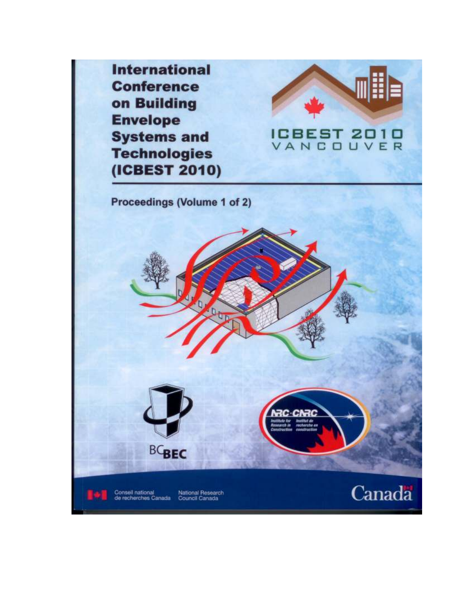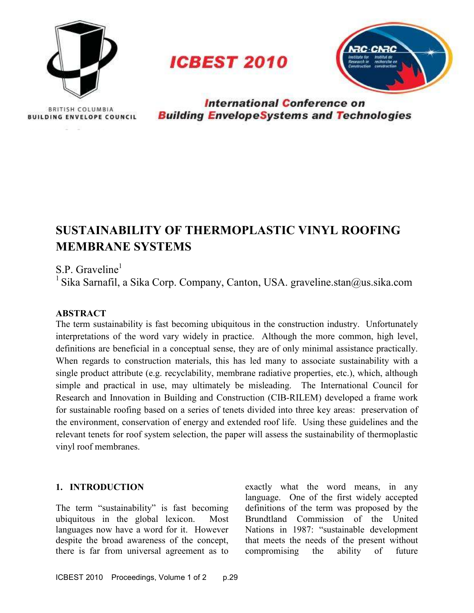

**ICBEST 2010** 



BRITISH COLUMBIA **BUILDING ENVELOPE COUNCIL** 

**International Conference on Building EnvelopeSystems and Technologies** 

# SUSTAINABILITY OF THERMOPLASTIC VINYL ROOFING MEMBRANE SYSTEMS

### $S.P.$  Graveline<sup>1</sup>

<sup>1</sup> Sika Sarnafil, a Sika Corp. Company, Canton, USA. graveline.stan@us.sika.com

#### **ABSTRACT**

 The term sustainability is fast becoming ubiquitous in the construction industry. Unfortunately interpretations of the word vary widely in practice. Although the more common, high level, definitions are beneficial in a conceptual sense, they are of only minimal assistance practically. When regards to construction materials, this has led many to associate sustainability with a single product attribute (e.g. recyclability, membrane radiative properties, etc.), which, although simple and practical in use, may ultimately be misleading. The International Council for Research and Innovation in Building and Construction (CIB-RILEM) developed a frame work for sustainable roofing based on a series of tenets divided into three key areas: preservation of the environment, conservation of energy and extended roof life. Using these guidelines and the relevant tenets for roof system selection, the paper will assess the sustainability of thermoplastic vinyl roof membranes.

 The term "sustainability" is fast becoming definitions of the term was proposed by the ubiquitous in the global lexicon. Most languages now have a word for it. However Nations in 1987: "sustainable development despite the broad awareness of the concept, there is far from universal agreement as to compromising the ability of future ubiquitous in the global lexicon. Most Brundtland Commission of the United despite the broad awareness of the concept, that meets the needs of the present without

1. **INTRODUCTION** exactly what the word means, in any language. One of the first widely accepted definitions of the term was proposed by the Nations in 1987: "sustainable development compromising the ability of future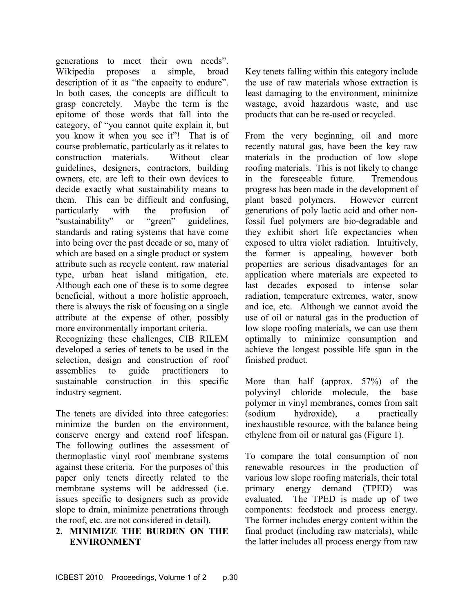generations to meet their own needs". proposes a simple, broad description of it as "the capacity to endure". In both cases, the concepts are difficult to grasp concretely. Maybe the term is the epitome of those words that fall into the category, of "you cannot quite explain it, but you know it when you see it"! That is of course problematic, particularly as it relates to Without clear guidelines, designers, contractors, building owners, etc. are left to their own devices to decide exactly what sustainability means to them. This can be difficult and confusing, with the profusion of or "green" standards and rating systems that have come into being over the past decade or so, many of which are based on a single product or system attribute such as recycle content, raw material type, urban heat island mitigation, etc. Although each one of these is to some degree beneficial, without a more holistic approach, there is always the risk of focusing on a single attribute at the expense of other, possibly more environmentally important criteria. Recognizing these challenges, CIB RILEM developed a series of tenets to be used in the selection, design and construction of roof assemblies to guide practitioners to sustainable construction in this specific Wikipedia construction materials. particularly "sustainability" or "green" guidelines,

 The tenets are divided into three categories: minimize the burden on the environment, conserve energy and extend roof lifespan. The following outlines the assessment of thermoplastic vinyl roof membrane systems against these criteria. For the purposes of this paper only tenets directly related to the membrane systems will be addressed (i.e. issues specific to designers such as provide slope to drain, minimize penetrations through the roof, etc. are not considered in detail).

industry segment.

#### 2. MINIMIZE THE BURDEN ON THE ENVIRONMENT

 Key tenets falling within this category include the use of raw materials whose extraction is least damaging to the environment, minimize wastage, avoid hazardous waste, and use products that can be re-used or recycled.

 From the very beginning, oil and more recently natural gas, have been the key raw materials in the production of low slope roofing materials. This is not likely to change in the foreseeable future. Tremendous progress has been made in the development of plant based polymers. However current generations of poly lactic acid and other nonfossil fuel polymers are bio-degradable and they exhibit short life expectancies when exposed to ultra violet radiation. Intuitively, the former is appealing, however both properties are serious disadvantages for an application where materials are expected to last decades exposed to intense solar radiation, temperature extremes, water, snow and ice, etc. Although we cannot avoid the use of oil or natural gas in the production of low slope roofing materials, we can use them optimally to minimize consumption and achieve the longest possible life span in the finished product.

 More than half (approx. 57%) of the polyvinyl chloride molecule, the base polymer in vinyl membranes, comes from salt a inexhaustible resource, with the balance being ethylene from oil or natural gas (Figure 1). (sodium hydroxide), a practically

 To compare the total consumption of non renewable resources in the production of various low slope roofing materials, their total primary energy demand (TPED) was evaluated. The TPED is made up of two components: feedstock and process energy. The former includes energy content within the final product (including raw materials), while the latter includes all process energy from raw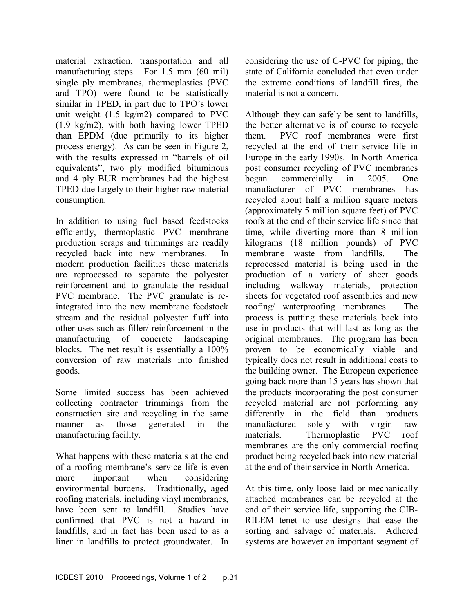material extraction, transportation and all manufacturing steps. For 1.5 mm (60 mil) single ply membranes, thermoplastics (PVC and TPO) were found to be statistically similar in TPED, in part due to TPO's lower unit weight (1.5 kg/m2) compared to PVC (1.9 kg/m2), with both having lower TPED than EPDM (due primarily to its higher process energy). As can be seen in Figure 2, with the results expressed in "barrels of oil equivalents", two ply modified bituminous and 4 ply BUR membranes had the highest TPED due largely to their higher raw material consumption.

 In addition to using fuel based feedstocks efficiently, thermoplastic PVC membrane production scraps and trimmings are readily recycled back into new membranes. In modern production facilities these materials are reprocessed to separate the polyester reinforcement and to granulate the residual PVC membrane. The PVC granulate is re- integrated into the new membrane feedstock stream and the residual polyester fluff into other uses such as filler/ reinforcement in the manufacturing of concrete landscaping blocks. The net result is essentially a 100% conversion of raw materials into finished goods.

 Some limited success has been achieved collecting contractor trimmings from the construction site and recycling in the same manner as those generated in the manufacturing facility.

 What happens with these materials at the end of a roofing membrane's service life is even important when environmental burdens. Traditionally, aged roofing materials, including vinyl membranes, have been sent to landfill. Studies have confirmed that PVC is not a hazard in landfills, and in fact has been used to as a liner in landfills to protect groundwater. In more important when considering

considering the use of C-PVC for piping, the state of California concluded that even under the extreme conditions of landfill fires, the material is not a concern.

 Although they can safely be sent to landfills, the better alternative is of course to recycle them. PVC roof membranes were first recycled at the end of their service life in Europe in the early 1990s. In North America post consumer recycling of PVC membranes in 2005. One manufacturer of PVC membranes has recycled about half a million square meters (approximately 5 million square feet) of PVC roofs at the end of their service life since that time, while diverting more than 8 million kilograms (18 million pounds) of PVC membrane waste from landfills. The reprocessed material is being used in the production of a variety of sheet goods including walkway materials, protection sheets for vegetated roof assemblies and new The process is putting these materials back into use in products that will last as long as the original membranes. The program has been proven to be economically viable and typically does not result in additional costs to the building owner. The European experience going back more than 15 years has shown that the products incorporating the post consumer recycled material are not performing any differently in the field than products manufactured solely with virgin raw materials. Thermoplastic PVC roof membranes are the only commercial roofing product being recycled back into new material at the end of their service in North America. began commercially roofing/ waterproofing membranes.

 At this time, only loose laid or mechanically attached membranes can be recycled at the end of their service life, supporting the CIB- RILEM tenet to use designs that ease the sorting and salvage of materials. Adhered systems are however an important segment of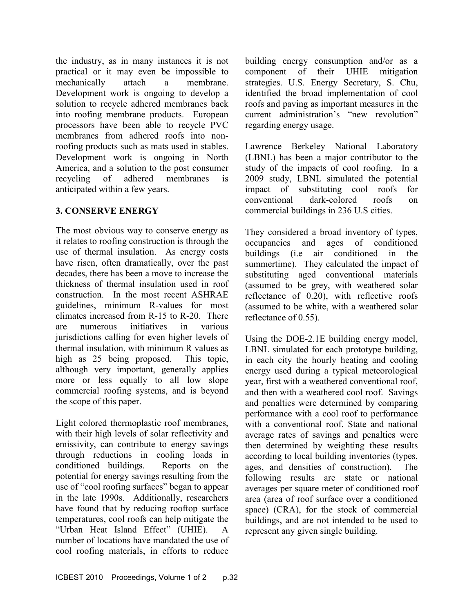the industry, as in many instances it is not practical or it may even be impossible to attach a membrane Development work is ongoing to develop a solution to recycle adhered membranes back into roofing membrane products. European processors have been able to recycle PVC membranes from adhered roofs into non- roofing products such as mats used in stables. Development work is ongoing in North America, and a solution to the post consumer adhered membranes is anticipated within a few years. mechanically recycling of

#### 3. CONSERVE ENERGY

 The most obvious way to conserve energy as it relates to roofing construction is through the use of thermal insulation. As energy costs have risen, often dramatically, over the past decades, there has been a move to increase the thickness of thermal insulation used in roof construction. In the most recent ASHRAE guidelines, minimum R-values for most climates increased from  $R-15$  to  $R-20$ . There in various jurisdictions calling for even higher levels of thermal insulation, with minimum R values as high as 25 being proposed. This topic, although very important, generally applies more or less equally to all low slope commercial roofing systems, and is beyond the scope of this paper. are numerous initiatives

 Light colored thermoplastic roof membranes, with their high levels of solar reflectivity and emissivity, can contribute to energy savings through reductions in cooling loads in Reports on the potential for energy savings resulting from the use of "cool roofing surfaces" began to appear in the late 1990s. Additionally, researchers have found that by reducing rooftop surface temperatures, cool roofs can help mitigate the "Urban Heat Island Effect" (UHIE). A number of locations have mandated the use of cool roofing materials, in efforts to reduce conditioned buildings.

 building energy consumption and/or as a component of their UHIE mitigation strategies. U.S. Energy Secretary, S. Chu, identified the broad implementation of cool roofs and paving as important measures in the current administration's "new revolution" regarding energy usage.

 Lawrence Berkeley National Laboratory (LBNL) has been a major contributor to the study of the impacts of cool roofing. In a 2009 study, LBNL simulated the potential impact of substituting cool roofs for roofs on commercial buildings in 236 U.S cities. conventional dark-colored

 They considered a broad inventory of types, occupancies and ages of conditioned buildings (i.e air conditioned in the summertime). They calculated the impact of substituting aged conventional materials (assumed to be grey, with weathered solar reflectance of 0.20), with reflective roofs (assumed to be white, with a weathered solar reflectance of 0.55).

Using the DOE-2.1E building energy model, LBNL simulated for each prototype building, in each city the hourly heating and cooling energy used during a typical meteorological year, first with a weathered conventional roof, and then with a weathered cool roof. Savings and penalties were determined by comparing performance with a cool roof to performance with a conventional roof. State and national average rates of savings and penalties were then determined by weighting these results according to local building inventories (types, ages, and densities of construction). The following results are state or national averages per square meter of conditioned roof area (area of roof surface over a conditioned space) (CRA), for the stock of commercial buildings, and are not intended to be used to represent any given single building.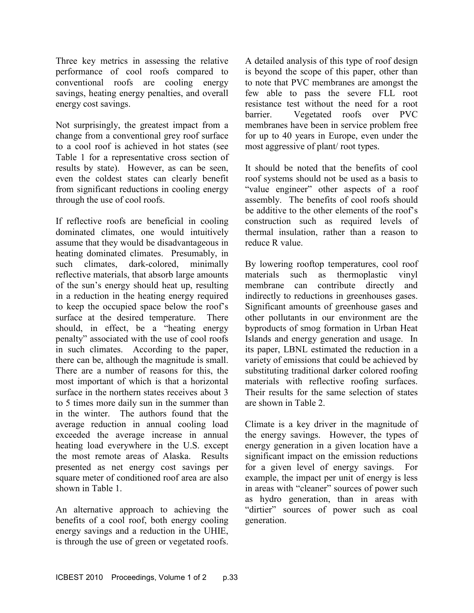Three key metrics in assessing the relative performance of cool roofs compared to conventional roofs are cooling energy savings, heating energy penalties, and overall energy cost savings.

 Not surprisingly, the greatest impact from a change from a conventional grey roof surface to a cool roof is achieved in hot states (see Table 1 for a representative cross section of results by state). However, as can be seen, even the coldest states can clearly benefit from significant reductions in cooling energy through the use of cool roofs.

 If reflective roofs are beneficial in cooling dominated climates, one would intuitively assume that they would be disadvantageous in heating dominated climates. Presumably, in such climates reflective materials, that absorb large amounts of the sun's energy should heat up, resulting in a reduction in the heating energy required surface at the desired temperature. There should, in effect, be a "heating energy penalty" associated with the use of cool roofs in such climates. According to the paper, there can be, although the magnitude is small. There are a number of reasons for this, the most important of which is that a horizontal surface in the northern states receives about 3 to 5 times more daily sun in the summer than in the winter. The authors found that the average reduction in annual cooling load exceeded the average increase in annual heating load everywhere in the U.S. except the most remote areas of Alaska. Results presented as net energy cost savings per square meter of conditioned roof area are also shown in Table 1. dark-colored, minimally to keep the occupied space below the roof's

 An alternative approach to achieving the benefits of a cool roof, both energy cooling energy savings and a reduction in the UHIE, is through the use of green or vegetated roofs.  A detailed analysis of this type of roof design is beyond the scope of this paper, other than to note that PVC membranes are amongst the few able to pass the severe FLL root resistance test without the need for a root barrier. Vegetated roofs over PVC membranes have been in service problem free for up to 40 years in Europe, even under the most aggressive of plant/ root types.

 It should be noted that the benefits of cool roof systems should not be used as a basis to "value engineer" other aspects of a roof assembly. The benefits of cool roofs should be additive to the other elements of the roof's construction such as required levels of thermal insulation, rather than a reason to reduce R value.

 By lowering rooftop temperatures, cool roof materials such as thermoplastic vinyl membrane can contribute directly and indirectly to reductions in greenhouses gases. Significant amounts of greenhouse gases and other pollutants in our environment are the byproducts of smog formation in Urban Heat Islands and energy generation and usage. In its paper, LBNL estimated the reduction in a variety of emissions that could be achieved by substituting traditional darker colored roofing materials with reflective roofing surfaces. Their results for the same selection of states are shown in Table 2.

 Climate is a key driver in the magnitude of the energy savings. However, the types of energy generation in a given location have a significant impact on the emission reductions for a given level of energy savings. For example, the impact per unit of energy is less in areas with "cleaner" sources of power such as hydro generation, than in areas with "dirtier" sources of power such as coal generation.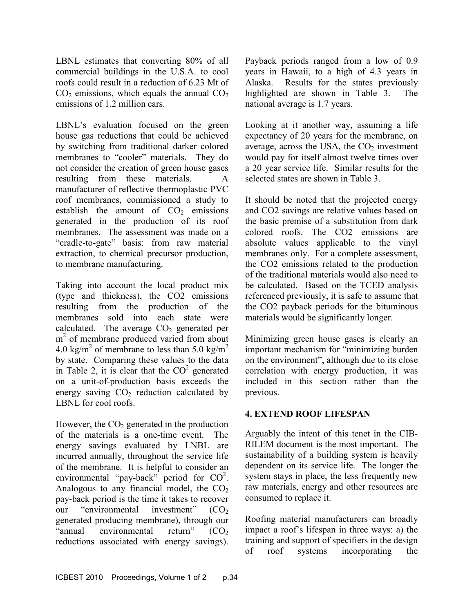LBNL estimates that converting 80% of all commercial buildings in the U.S.A. to cool roofs could result in a reduction of 6.23 Mt of  $CO<sub>2</sub>$  emissions, which equals the annual  $CO<sub>2</sub>$ emissions of 1.2 million cars.

 LBNL's evaluation focused on the green house gas reductions that could be achieved by switching from traditional darker colored membranes to "cooler" materials. They do not consider the creation of green house gases resulting from these materials. A manufacturer of reflective thermoplastic PVC roof membranes, commissioned a study to establish the amount of  $CO<sub>2</sub>$  emissions generated in the production of its roof membranes. The assessment was made on a "cradle-to-gate" basis: from raw material extraction, to chemical precursor production, to membrane manufacturing.

 Taking into account the local product mix (type and thickness), the CO2 emissions resulting from the production of the membranes sold into each state were calculated. The average  $CO<sub>2</sub>$  generated per m<sup>2</sup> of membrane produced varied from about 4.0 kg/m<sup>2</sup> of membrane to less than 5.0 kg/m<sup>2</sup> by state. Comparing these values to the data in Table 2, it is clear that the  $CO<sup>2</sup>$  generated on a unit-of-production basis exceeds the energy saving  $CO<sub>2</sub>$  reduction calculated by LBNL for cool roofs.

However, the  $CO<sub>2</sub>$  generated in the production of the materials is a one-time event. The energy savings evaluated by LNBL are incurred annually, throughout the service life of the membrane. It is helpful to consider an environmental "pay-back" period for  $CO<sup>2</sup>$ . Analogous to any financial model, the  $CO<sub>2</sub>$ pay-back period is the time it takes to recover investment"  $(CO<sub>2</sub>)$  generated producing membrane), through our return"  $(CO<sub>2</sub>)$  reductions associated with energy savings). our "environmental "annual environmental

 Payback periods ranged from a low of 0.9 years in Hawaii, to a high of 4.3 years in Alaska. Results for the states previously highlighted are shown in Table 3. The national average is 1.7 years.

 Looking at it another way, assuming a life expectancy of 20 years for the membrane, on average, across the USA, the  $CO<sub>2</sub>$  investment would pay for itself almost twelve times over a 20 year service life. Similar results for the selected states are shown in Table 3.

 It should be noted that the projected energy and CO2 savings are relative values based on the basic premise of a substitution from dark colored roofs. The CO2 emissions are absolute values applicable to the vinyl membranes only. For a complete assessment, the CO2 emissions related to the production of the traditional materials would also need to be calculated. Based on the TCED analysis referenced previously, it is safe to assume that the CO2 payback periods for the bituminous materials would be significantly longer.

 Minimizing green house gases is clearly an important mechanism for "minimizing burden on the environment", although due to its close correlation with energy production, it was included in this section rather than the previous.

#### 4. EXTEND ROOF LIFESPAN

 Arguably the intent of this tenet in the CIB- RILEM document is the most important. The sustainability of a building system is heavily dependent on its service life. The longer the system stays in place, the less frequently new raw materials, energy and other resources are consumed to replace it.

 Roofing material manufacturers can broadly impact a roof's lifespan in three ways: a) the training and support of specifiers in the design of roof systems incorporating the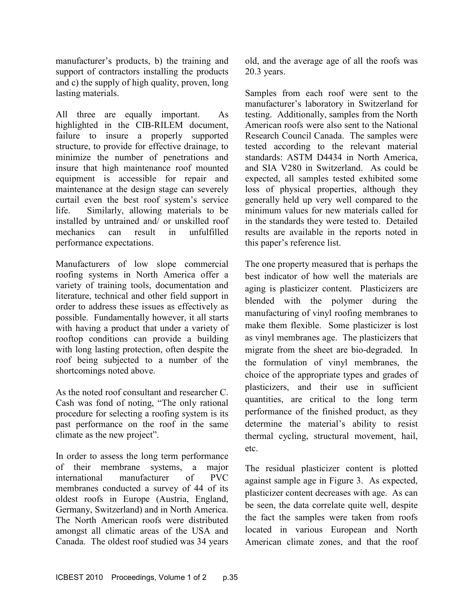manufacturer's products, b) the training and support of contractors installing the products and c) the supply of high quality, proven, long lasting materials.

 All three are equally important. As highlighted in the CIB-RILEM document, failure to insure a properly supported structure, to provide for effective drainage, to minimize the number of penetrations and insure that high maintenance roof mounted equipment is accessible for repair and maintenance at the design stage can severely curtail even the best roof system's service life. Similarly, allowing materials to be installed by untrained and/ or unskilled roof can result in mechanics can result in unfulfilled performance expectations.

 Manufacturers of low slope commercial roofing systems in North America offer a variety of training tools, documentation and literature, technical and other field support in order to address these issues as effectively as possible. Fundamentally however, it all starts with having a product that under a variety of rooftop conditions can provide a building with long lasting protection, often despite the roof being subjected to a number of the shortcomings noted above.

 As the noted roof consultant and researcher C. Cash was fond of noting, "The only rational procedure for selecting a roofing system is its past performance on the roof in the same climate as the new project".

 In order to assess the long term performance of their membrane systems, a major of PVC membranes conducted a survey of 44 of its oldest roofs in Europe (Austria, England, Germany, Switzerland) and in North America. The North American roofs were distributed amongst all climatic areas of the USA and Canada. The oldest roof studied was 34 years international manufacturer

 old, and the average age of all the roofs was 20.3 years.

 Samples from each roof were sent to the manufacturer's laboratory in Switzerland for testing. Additionally, samples from the North American roofs were also sent to the National Research Council Canada. The samples were tested according to the relevant material standards: ASTM D4434 in North America, and SIA V280 in Switzerland. As could be expected, all samples tested exhibited some loss of physical properties, although they generally held up very well compared to the minimum values for new materials called for in the standards they were tested to. Detailed results are available in the reports noted in this paper's reference list.

 The one property measured that is perhaps the best indicator of how well the materials are aging is plasticizer content. Plasticizers are blended with the polymer during the manufacturing of vinyl roofing membranes to make them flexible. Some plasticizer is lost as vinyl membranes age. The plasticizers that migrate from the sheet are bio-degraded. In the formulation of vinyl membranes, the choice of the appropriate types and grades of plasticizers, and their use in sufficient quantities, are critical to the long term performance of the finished product, as they determine the material's ability to resist thermal cycling, structural movement, hail, etc.

 The residual plasticizer content is plotted against sample age in Figure 3. As expected, plasticizer content decreases with age. As can be seen, the data correlate quite well, despite the fact the samples were taken from roofs located in various European and North American climate zones, and that the roof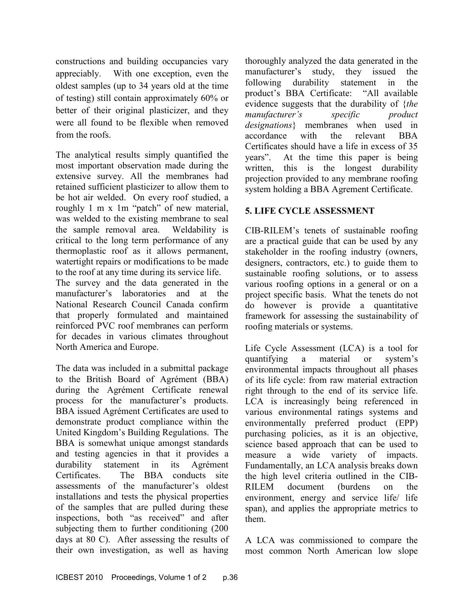constructions and building occupancies vary appreciably. With one exception, even the oldest samples (up to 34 years old at the time of testing) still contain approximately 60% or better of their original plasticizer, and they were all found to be flexible when removed from the roofs.

 The analytical results simply quantified the most important observation made during the extensive survey. All the membranes had retained sufficient plasticizer to allow them to be hot air welded. On every roof studied, a roughly 1 m x 1m "patch" of new material, was welded to the existing membrane to seal the sample removal area. Weldability is critical to the long term performance of any thermoplastic roof as it allows permanent, watertight repairs or modifications to be made to the roof at any time during its service life. The survey and the data generated in the

 manufacturer's laboratories and at the National Research Council Canada confirm that properly formulated and maintained reinforced PVC roof membranes can perform for decades in various climates throughout North America and Europe.

 The data was included in a submittal package to the British Board of Agrément (BBA) during the Agrément Certificate renewal process for the manufacturer's products. BBA issued Agrément Certificates are used to demonstrate product compliance within the United Kingdom's Building Regulations. The BBA is somewhat unique amongst standards and testing agencies in that it provides a durability statement in its Agrément Certificates. The BBA conducts site assessments of the manufacturer's oldest installations and tests the physical properties of the samples that are pulled during these inspections, both "as received" and after subjecting them to further conditioning (200 days at 80 C). After assessing the results of their own investigation, as well as having

 thoroughly analyzed the data generated in the manufacturer's study, they issued the following durability statement in the product's BBA Certificate: "All available evidence suggests that the durability of {the designations} membranes when used in with the relevant BBA Certificates should have a life in excess of 35 years". At the time this paper is being written, this is the longest durability projection provided to any membrane roofing system holding a BBA Agrement Certificate. manufacturer's specific product accordance

#### 5. LIFE CYCLE ASSESSMENT

CIB-RILEM's tenets of sustainable roofing are a practical guide that can be used by any stakeholder in the roofing industry (owners, designers, contractors, etc.) to guide them to sustainable roofing solutions, or to assess various roofing options in a general or on a project specific basis. What the tenets do not do however is provide a quantitative framework for assessing the sustainability of roofing materials or systems.

 Life Cycle Assessment (LCA) is a tool for a material or system's environmental impacts throughout all phases of its life cycle: from raw material extraction right through to the end of its service life. LCA is increasingly being referenced in various environmental ratings systems and environmentally preferred product (EPP) purchasing policies, as it is an objective, science based approach that can be used to measure a wide variety of impacts. Fundamentally, an LCA analysis breaks down the high level criteria outlined in the CIB-(burdens on the environment, energy and service life/ life span), and applies the appropriate metrics to quantifying  $RILEM$  document them.

 A LCA was commissioned to compare the most common North American low slope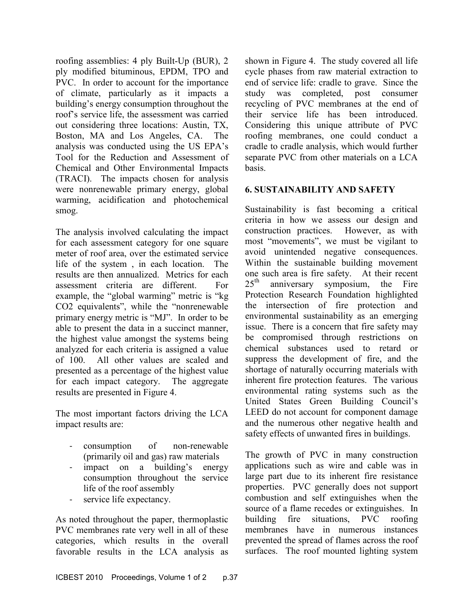roofing assemblies:  $4$  ply Built-Up (BUR),  $2$  ply modified bituminous, EPDM, TPO and PVC. In order to account for the importance of climate, particularly as it impacts a building's energy consumption throughout the roof's service life, the assessment was carried out considering three locations: Austin, TX, Boston, MA and Los Angeles, CA. The analysis was conducted using the US EPA's Tool for the Reduction and Assessment of Chemical and Other Environmental Impacts (TRACI). The impacts chosen for analysis were nonrenewable primary energy, global warming, acidification and photochemical smog.

 The analysis involved calculating the impact for each assessment category for one square meter of roof area, over the estimated service life of the system , in each location. The results are then annualized. Metrics for each assessment criteria are different. For example, the "global warming" metric is "kg CO2 equivalents", while the "nonrenewable primary energy metric is "MJ". In order to be able to present the data in a succinct manner, the highest value amongst the systems being analyzed for each criteria is assigned a value of 100. All other values are scaled and presented as a percentage of the highest value for each impact category. The aggregate results are presented in Figure 4.

 The most important factors driving the LCA impact results are:

- of (primarily oil and gas) raw materials consumption of non-renewable
- impact on a building's energy consumption throughout the service life of the roof assembly
- service life expectancy.

 As noted throughout the paper, thermoplastic PVC membranes rate very well in all of these categories, which results in the overall favorable results in the LCA analysis as

 shown in Figure 4. The study covered all life cycle phases from raw material extraction to end of service life: cradle to grave. Since the study was completed, post consumer recycling of PVC membranes at the end of their service life has been introduced. Considering this unique attribute of PVC roofing membranes, one could conduct a cradle to cradle analysis, which would further separate PVC from other materials on a LCA basis.

## 6. SUSTAINABILITY AND SAFETY

 Sustainability is fast becoming a critical criteria in how we assess our design and construction practices. However, as with most "movements", we must be vigilant to avoid unintended negative consequences. Within the sustainable building movement one such area is fire safety. At their recent  $25<sup>th</sup>$  anniversary symposium, the Fire Protection Research Foundation highlighted the intersection of fire protection and environmental sustainability as an emerging issue. There is a concern that fire safety may be compromised through restrictions on chemical substances used to retard or suppress the development of fire, and the shortage of naturally occurring materials with inherent fire protection features. The various environmental rating systems such as the United States Green Building Council's LEED do not account for component damage and the numerous other negative health and safety effects of unwanted fires in buildings.

 The growth of PVC in many construction applications such as wire and cable was in large part due to its inherent fire resistance properties. PVC generally does not support combustion and self extinguishes when the source of a flame recedes or extinguishes. In building fire situations, PVC roofing membranes have in numerous instances prevented the spread of flames across the roof surfaces. The roof mounted lighting system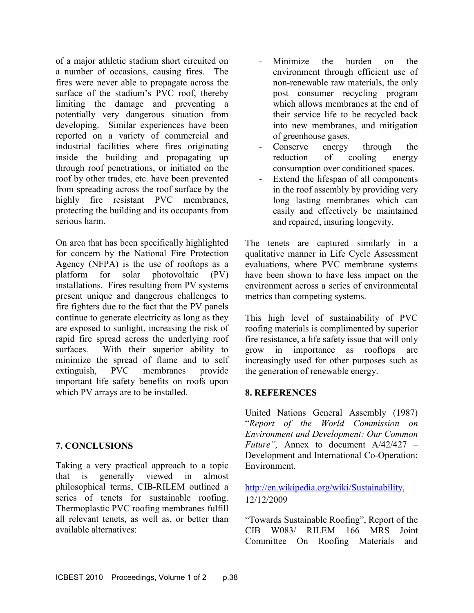of a major athletic stadium short circuited on a number of occasions, causing fires. The fires were never able to propagate across the surface of the stadium's PVC roof, thereby limiting the damage and preventing a potentially very dangerous situation from developing. Similar experiences have been reported on a variety of commercial and industrial facilities where fires originating inside the building and propagating up through roof penetrations, or initiated on the roof by other trades, etc. have been prevented from spreading across the roof surface by the highly fire resistant PVC membranes, protecting the building and its occupants from serious harm.

 On area that has been specifically highlighted for concern by the National Fire Protection Agency (NFPA) is the use of rooftops as a photovoltaic (PV) installations. Fires resulting from PV systems present unique and dangerous challenges to fire fighters due to the fact that the PV panels continue to generate electricity as long as they are exposed to sunlight, increasing the risk of rapid fire spread across the underlying roof surfaces. With their superior ability to minimize the spread of flame and to self extinguish, PVC membranes provide important life safety benefits on roofs upon which PV arrays are to be installed. platform for solar

#### 7. CONCLUSIONS

 Taking a very practical approach to a topic that is generally viewed in almost philosophical terms, CIB-RILEM outlined a series of tenets for sustainable roofing. Thermoplastic PVC roofing membranes fulfill all relevant tenets, as well as, or better than available alternatives:

- the burden on the environment through efficient use of non-renewable raw materials, the only post consumer recycling program which allows membranes at the end of their service life to be recycled back into new membranes, and mitigation of greenhouse gases. - Minimize
- energy through the consumption over conditioned spaces. Conserve reduction of cooling energy
- Extend the lifespan of all components in the roof assembly by providing very long lasting membranes which can easily and effectively be maintained and repaired, insuring longevity.

 The tenets are captured similarly in a qualitative manner in Life Cycle Assessment evaluations, where PVC membrane systems have been shown to have less impact on the environment across a series of environmental metrics than competing systems.

 This high level of sustainability of PVC roofing materials is complimented by superior fire resistance, a life safety issue that will only grow in importance as rooftops are increasingly used for other purposes such as the generation of renewable energy.

#### 8. REFERENCES

 United Nations General Assembly (1987) "Report of the World Commission on Environment and Development: Our Common Future", Annex to document  $A/42/427 -$ Development and International Co-Operation: Environment.

#### http://en.wikipedia.org/wiki/Sustainability, 12/12/2009

 "Towards Sustainable Roofing", Report of the CIB W083/ RILEM 166 MRS Joint Committee On Roofing Materials and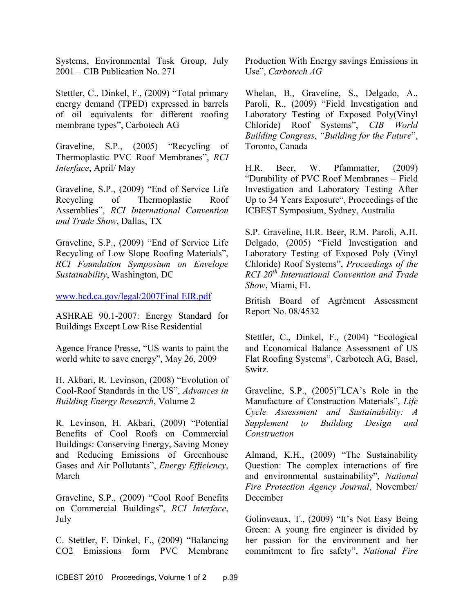Systems, Environmental Task Group, July 2001 – CIB Publication No. 271

 Stettler, C., Dinkel, F., (2009) "Total primary energy demand (TPED) expressed in barrels of oil equivalents for different roofing membrane types", Carbotech AG

 Graveline, S.P., (2005) "Recycling of Thermoplastic PVC Roof Membranes", RCI Interface, April/ May

 Graveline, S.P., (2009) "End of Service Life Recycling of Thermoplastic Roof and Trade Show, Dallas, TX Assemblies", RCI International Convention

 Graveline, S.P., (2009) "End of Service Life Recycling of Low Slope Roofing Materials", RCI Foundation Symposium on Envelope Sustainability, Washington, DC

www.hcd.ca.gov/legal/2007Final EIR.pdf

ASHRAE 90.1-2007: Energy Standard for Buildings Except Low Rise Residential

 Agence France Presse, "US wants to paint the world white to save energy", May 26, 2009

 H. Akbari, R. Levinson, (2008) "Evolution of Cool-Roof Standards in the US", Advances in Building Energy Research, Volume 2

 R. Levinson, H. Akbari, (2009) "Potential Benefits of Cool Roofs on Commercial Buildings: Conserving Energy, Saving Money and Reducing Emissions of Greenhouse Gases and Air Pollutants", Energy Efficiency, March

 Graveline, S.P., (2009) "Cool Roof Benefits on Commercial Buildings", RCI Interface, July

 C. Stettler, F. Dinkel, F., (2009) "Balancing CO2 Emissions form PVC Membrane

 Production With Energy savings Emissions in Use", Carbotech AG

 Whelan, B., Graveline, S., Delgado, A., Paroli, R., (2009) "Field Investigation and Laboratory Testing of Exposed Poly(Vinyl Chloride) Roof Systems", CIB World Building Congress, "Building for the Future", Toronto, Canada

 H.R. Beer, W. Pfammatter, (2009) "Durability of PVC Roof Membranes – Field Investigation and Laboratory Testing After Up to 34 Years Exposure", Proceedings of the ICBEST Symposium, Sydney, Australia

 S.P. Graveline, H.R. Beer, R.M. Paroli, A.H. Delgado, (2005) "Field Investigation and Laboratory Testing of Exposed Poly (Vinyl Chloride) Roof Systems", Proceedings of the  $RCI$   $20<sup>th</sup>$  International Convention and Trade Show, Miami, FL

 British Board of Agrément Assessment Report No. 08/4532

 Stettler, C., Dinkel, F., (2004) "Ecological and Economical Balance Assessment of US Flat Roofing Systems", Carbotech AG, Basel, Switz.

 Graveline, S.P., (2005)"LCA's Role in the Manufacture of Construction Materials", Life Cycle Assessment and Sustainability: A Supplement to Building Design and Construction

 Almand, K.H., (2009) "The Sustainability Question: The complex interactions of fire Fire Protection Agency Journal, November/ December and environmental sustainability", National

 Golinveaux, T., (2009) "It's Not Easy Being Green: A young fire engineer is divided by her passion for the environment and her commitment to fire safety", National Fire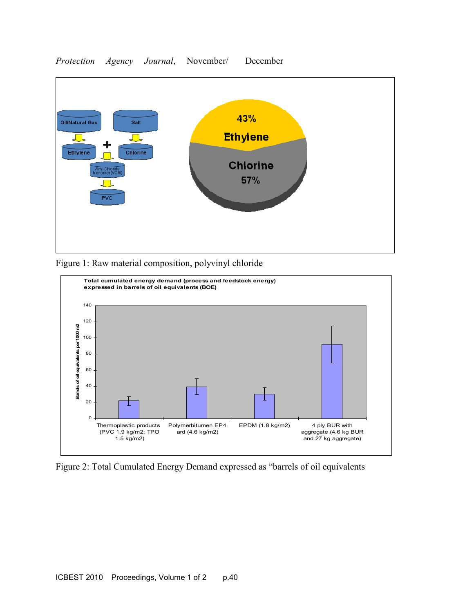

#### Protection Agency Journal, November/ December





Figure 2: Total Cumulated Energy Demand expressed as "barrels of oil equivalents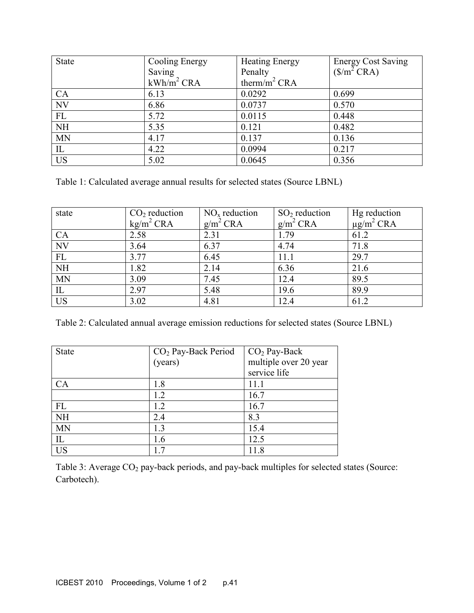| State                  | <b>Cooling Energy</b>  | <b>Heating Energy</b>    | <b>Energy Cost Saving</b>       |
|------------------------|------------------------|--------------------------|---------------------------------|
|                        | Saving                 | Penalty                  | $(\frac{\mathcal{S}}{m^2} CRA)$ |
|                        | kWh/m <sup>2</sup> CRA | therm/m <sup>2</sup> CRA |                                 |
| CA                     | 6.13                   | 0.0292                   | 0.699                           |
| NV                     | 6.86                   | 0.0737                   | 0.570                           |
| FL                     | 5.72                   | 0.0115                   | 0.448                           |
| $\overline{\text{NH}}$ | 5.35                   | 0.121                    | 0.482                           |
| <b>MN</b>              | 4.17                   | 0.137                    | 0.136                           |
| IL                     | 4.22                   | 0.0994                   | 0.217                           |
| <b>US</b>              | 5.02                   | 0.0645                   | 0.356                           |

Table 1: Calculated average annual results for selected states (Source LBNL)

| state                  | $CO2$ reduction<br>$kg/m^2$ CRA | $NOx$ reduction<br>$g/m^2$ CRA | $SO2$ reduction<br>$g/m^2$ CRA | Hg reduction<br>$\mu$ g/m <sup>2</sup> CRA |
|------------------------|---------------------------------|--------------------------------|--------------------------------|--------------------------------------------|
| CA                     | 2.58                            | 2.31                           | 1.79                           | 61.2                                       |
| $\overline{\text{NV}}$ | 3.64                            | 6.37                           | 4.74                           | 71.8                                       |
| ${\rm FL}$             | 3.77                            | 6.45                           | 11.1                           | 29.7                                       |
| $\overline{\text{NH}}$ | 1.82                            | 2.14                           | 6.36                           | 21.6                                       |
| <b>MN</b>              | 3.09                            | 7.45                           | 12.4                           | 89.5                                       |
| $\rm IL$               | 2.97                            | 5.48                           | 19.6                           | 89.9                                       |
| <b>US</b>              | 3.02                            | 4.81                           | 12.4                           | 61.2                                       |

Table 2: Calculated annual average emission reductions for selected states (Source LBNL)

| <b>State</b> | $CO2$ Pay-Back Period | $CO2$ Pay-Back        |
|--------------|-----------------------|-----------------------|
|              | (years)               | multiple over 20 year |
|              |                       | service life          |
| CA           | 1.8                   | 11.1                  |
|              | 1.2                   | 16.7                  |
| FL           | 1.2                   | 16.7                  |
| <b>NH</b>    | 2.4                   | 8.3                   |
| <b>MN</b>    | 1.3                   | 15.4                  |
| IL           | 1.6                   | 12.5                  |
| <b>US</b>    | 17                    | 11.8                  |

Table 3: Average  $CO_2$  pay-back periods, and pay-back multiples for selected states (Source: Carbotech).